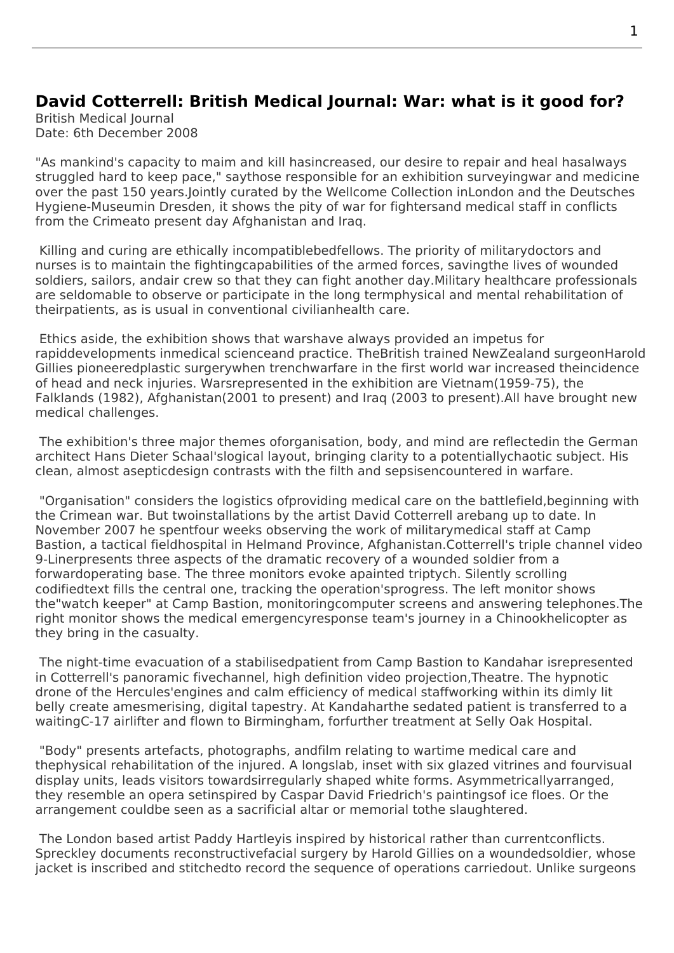## **David Cotterrell: British Medical Journal: War: what is it good for?**

British Medical Journal Date: 6th December 2008

"As mankind's capacity to maim and kill hasincreased, our desire to repair and heal hasalways struggled hard to keep pace," saythose responsible for an exhibition surveyingwar and medicine over the past 150 years.Jointly curated by the Wellcome Collection inLondon and the Deutsches Hygiene-Museumin Dresden, it shows the pity of war for fightersand medical staff in conflicts from the Crimeato present day Afghanistan and Iraq.

 Killing and curing are ethically incompatiblebedfellows. The priority of militarydoctors and nurses is to maintain the fightingcapabilities of the armed forces, savingthe lives of wounded soldiers, sailors, andair crew so that they can fight another day.Military healthcare professionals are seldomable to observe or participate in the long termphysical and mental rehabilitation of theirpatients, as is usual in conventional civilianhealth care.

 Ethics aside, the exhibition shows that warshave always provided an impetus for rapiddevelopments inmedical scienceand practice. TheBritish trained NewZealand surgeonHarold Gillies pioneeredplastic surgerywhen trenchwarfare in the first world war increased theincidence of head and neck injuries. Warsrepresented in the exhibition are Vietnam(1959-75), the Falklands (1982), Afghanistan(2001 to present) and Iraq (2003 to present).All have brought new medical challenges.

 The exhibition's three major themes oforganisation, body, and mind are reflectedin the German architect Hans Dieter Schaal'slogical layout, bringing clarity to a potentiallychaotic subject. His clean, almost asepticdesign contrasts with the filth and sepsisencountered in warfare.

 "Organisation" considers the logistics ofproviding medical care on the battlefield,beginning with the Crimean war. But twoinstallations by the artist David Cotterrell arebang up to date. In November 2007 he spentfour weeks observing the work of militarymedical staff at Camp Bastion, a tactical fieldhospital in Helmand Province, Afghanistan.Cotterrell's triple channel video 9-Linerpresents three aspects of the dramatic recovery of a wounded soldier from a forwardoperating base. The three monitors evoke apainted triptych. Silently scrolling codifiedtext fills the central one, tracking the operation'sprogress. The left monitor shows the"watch keeper" at Camp Bastion, monitoringcomputer screens and answering telephones.The right monitor shows the medical emergencyresponse team's journey in a Chinookhelicopter as they bring in the casualty.

 The night-time evacuation of a stabilisedpatient from Camp Bastion to Kandahar isrepresented in Cotterrell's panoramic fivechannel, high definition video projection,Theatre. The hypnotic drone of the Hercules'engines and calm efficiency of medical staffworking within its dimly lit belly create amesmerising, digital tapestry. At Kandaharthe sedated patient is transferred to a waitingC-17 airlifter and flown to Birmingham, forfurther treatment at Selly Oak Hospital.

 "Body" presents artefacts, photographs, andfilm relating to wartime medical care and thephysical rehabilitation of the injured. A longslab, inset with six glazed vitrines and fourvisual display units, leads visitors towardsirregularly shaped white forms. Asymmetricallyarranged, they resemble an opera setinspired by Caspar David Friedrich's paintingsof ice floes. Or the arrangement couldbe seen as a sacrificial altar or memorial tothe slaughtered.

 The London based artist Paddy Hartleyis inspired by historical rather than currentconflicts. Spreckley documents reconstructivefacial surgery by Harold Gillies on a woundedsoldier, whose jacket is inscribed and stitchedto record the sequence of operations carriedout. Unlike surgeons